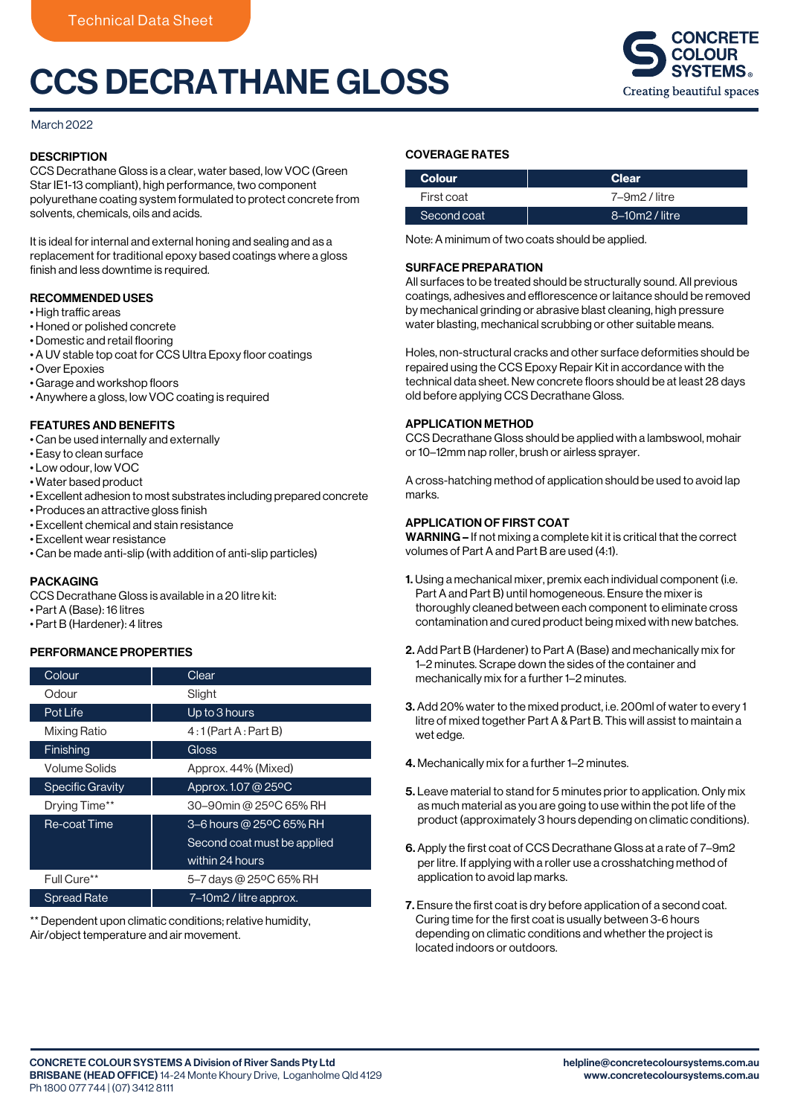# CCS DECRATHANE GLOSS



### March 2022

# **DESCRIPTION**

CCS Decrathane Gloss is a clear, water based, low VOC (Green Star IE1-13 compliant), high performance, two component polyurethane coating system formulated to protect concrete from solvents, chemicals, oils and acids.

It is ideal for internal and external honing and sealing and as a replacement for traditional epoxy based coatings where a gloss finish and less downtime is required.

# RECOMMENDED USES

- High traffic areas
- Honed or polished concrete
- Domestic and retail flooring
- A UV stable top coat for CCS Ultra Epoxy floor coatings
- Over Epoxies
- Garage and workshop floors
- Anywhere a gloss, low VOC coating is required

# FEATURES AND BENEFITS

- Can be used internally and externally
- Easy to clean surface
- Low odour, low VOC
- Water based product
- Excellent adhesion to most substrates including prepared concrete
- Produces an attractive gloss finish
- Excellent chemical and stain resistance
- Excellent wear resistance
- Can be made anti-slip (with addition of anti-slip particles)

#### PACKAGING

CCS Decrathane Gloss is available in a 20 litre kit:

- Part A (Base): 16 litres
- Part B (Hardener): 4 litres

#### PERFORMANCE PROPERTIES

| Colour                  | Clear                        |
|-------------------------|------------------------------|
| Odour                   | Slight                       |
| Pot Life                | Up to 3 hours                |
| <b>Mixing Ratio</b>     | $4:1$ (Part A : Part B)      |
| Finishing               | Gloss                        |
| Volume Solids           | Approx. 44% (Mixed)          |
| <b>Specific Gravity</b> | Approx. 1.07 @ 25°C          |
| Drying Time**           | 30-90min @ 25°C 65% RH       |
| Re-coat Time            | 3-6 hours @ 25°C 65% RH      |
|                         | Second coat must be applied  |
|                         | within $\overline{2}4$ hours |
| Full Cure**             | 5-7 days @ 25°C 65% RH       |
| <b>Spread Rate</b>      | 7–10m2 / litre approx.       |

\*\* Dependent upon climatic conditions; relative humidity, Air/object temperature and air movement.

## COVERAGE RATES

| <b>Colour</b> | <b>Clear</b>   |
|---------------|----------------|
| First coat    | 7–9m2 / litre  |
| Second coat   | 8-10m2 / litre |

Note: A minimum of two coats should be applied.

#### SURFACE PREPARATION

All surfaces to be treated should be structurally sound. All previous coatings, adhesives and efflorescence or laitance should be removed by mechanical grinding or abrasive blast cleaning, high pressure water blasting, mechanical scrubbing or other suitable means.

Holes, non-structural cracks and other surface deformities should be repaired using the CCS Epoxy Repair Kit in accordance with the technical data sheet. New concrete floors should be at least 28 days old before applying CCS Decrathane Gloss.

#### APPLICATION METHOD

CCS Decrathane Gloss should be applied with a lambswool, mohair or 10–12mm nap roller, brush or airless sprayer.

A cross-hatching method of application should be used to avoid lap marks.

## APPLICATION OF FIRST COAT

WARNING – If not mixing a complete kit it is critical that the correct volumes of Part A and Part B are used (4:1).

- 1. Using a mechanical mixer, premix each individual component (i.e. Part A and Part B) until homogeneous. Ensure the mixer is thoroughly cleaned between each component to eliminate cross contamination and cured product being mixed with new batches.
- 2. Add Part B (Hardener) to Part A (Base) and mechanically mix for 1–2 minutes. Scrape down the sides of the container and mechanically mix for a further 1–2 minutes.
- 3. Add 20% water to the mixed product, i.e. 200ml of water to every 1 litre of mixed together Part A & Part B. This will assist to maintain a wet edge.
- 4. Mechanically mix for a further 1–2 minutes.
- 5. Leave material to stand for 5 minutes prior to application. Only mix as much material as you are going to use within the pot life of the product (approximately 3 hours depending on climatic conditions).
- 6. Apply the first coat of CCS Decrathane Gloss at a rate of 7–9m2 per litre. If applying with a roller use a crosshatching method of application to avoid lap marks.
- 7. Ensure the first coat is dry before application of a second coat. Curing time for the first coat is usually between 3-6 hours depending on climatic conditions and whether the project is located indoors or outdoors.